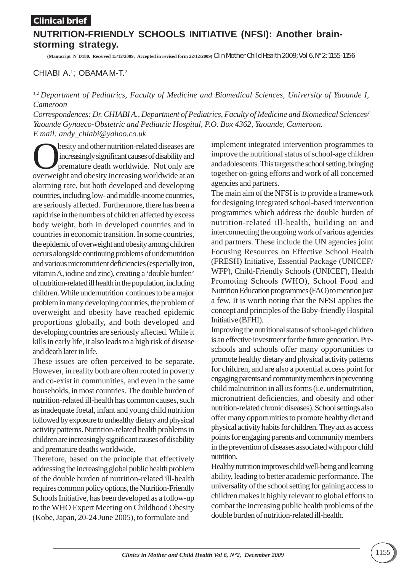### **Clinical brief**

# **NUTRITION-FRIENDLY SCHOOLS INITIATIVE (NFSI): Another brainstorming strategy.**

**(Manucript N°D180. Received 15/12/2009. Accepted in revised form 22/12/2009)** Clin Mother Child Health 2009; Vol 6, N° 2: 1155-1156

## CHIABI A.<sup>1</sup>; OBAMA M-T.<sup>2</sup>

### *1,2 Department of Pediatrics, Faculty of Medicine and Biomedical Sciences, University of Yaounde I, Cameroon*

*Correspondences: Dr. CHIABI A., Department of Pediatrics, Faculty of Medicine and Biomedical Sciences/ Yaounde Gynaeco-Obstetric and Pediatric Hospital, P.O. Box 4362, Yaounde, Cameroon. E mail: andy\_chiabi@yahoo.co.uk*

**Obesity and other nutrition-related diseases are increasingly significant causes of disability and premature death worldwide. Not only are averywheth and obesity increasing worldwide at an**  increasingly significant causes of disability and premature death worldwide. Not only are overweight and obesity increasing worldwide at an alarming rate, but both developed and developing countries, including low- and middle-income countries, are seriously affected. Furthermore, there has been a rapid rise in the numbers of children affected by excess body weight, both in developed countries and in countries in economic transition. In some countries, the epidemic of overweight and obesity among children occurs alongside continuing problems of undernutrition and various micronutrient deficiencies (especially iron, vitamin A, iodine and zinc), creating a 'double burden' of nutrition-related ill health in the population, including children. While undernutrition continues to be a major problem in many developing countries, the problem of overweight and obesity have reached epidemic proportions globally, and both developed and developing countries are seriously affected. While it kills in early life, it also leads to a high risk of disease and death later in life.

These issues are often perceived to be separate. However, in reality both are often rooted in poverty and co-exist in communities, and even in the same households, in most countries. The double burden of nutrition-related ill-health has common causes, such as inadequate foetal, infant and young child nutrition followed by exposure to unhealthy dietary and physical activity patterns. Nutrition-related health problems in children are increasingly significant causes of disability and premature deaths worldwide.

Therefore, based on the principle that effectively addressing the increasing global public health problem of the double burden of nutrition-related ill-health requires common policy options, the Nutrition-Friendly Schools Initiative, has been developed as a follow-up to the WHO Expert Meeting on Childhood Obesity (Kobe, Japan, 20-24 June 2005), to formulate and

implement integrated intervention programmes to improve the nutritional status of school-age children and adolescents. This targets the school setting, bringing together on-going efforts and work of all concerned agencies and partners.

The main aim of the NFSI is to provide a framework for designing integrated school-based intervention programmes which address the double burden of nutrition-related ill-health, building on and interconnecting the ongoing work of various agencies and partners. These include the UN agencies joint Focusing Resources on Effective School Health (FRESH) Initiative, Essential Package (UNICEF/ WFP), Child-Friendly Schools (UNICEF), Health Promoting Schools (WHO), School Food and Nutrition Education programmes (FAO) to mention just a few. It is worth noting that the NFSI applies the concept and principles of the Baby-friendly Hospital Initiative (BFHI).

Improving the nutritional status of school-aged children is an effective investment for the future generation. Preschools and schools offer many opportunities to promote healthy dietary and physical activity patterns for children, and are also a potential access point for engaging parents and community members in preventing child malnutrition in all its forms (i.e. undernutrition, micronutrient deficiencies, and obesity and other nutrition-related chronic diseases). School settings also offer many opportunities to promote healthy diet and physical activity habits for children. They act as access points for engaging parents and community members in the prevention of diseases associated with poor child nutrition.

Healthy nutrition improves child well-being and learning ability, leading to better academic performance. The universality of the school setting for gaining access to children makes it highly relevant to global efforts to combat the increasing public health problems of the double burden of nutrition-related ill-health.